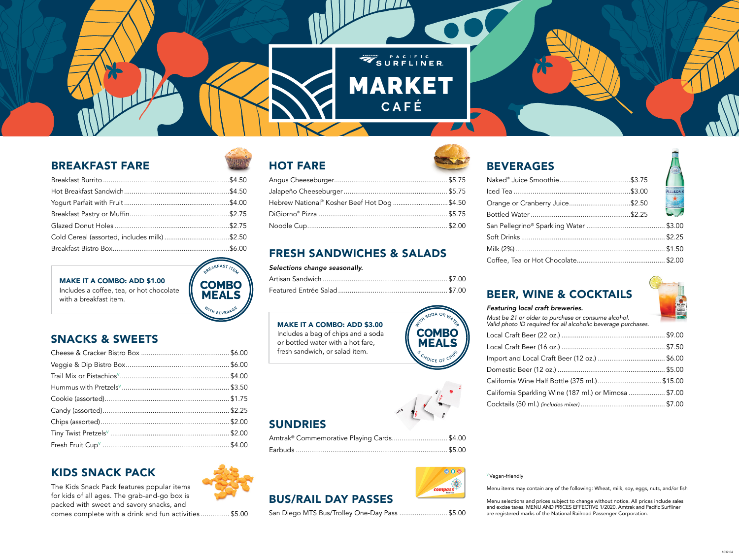<sup>V</sup> Vegan-friendly

Menu items may contain any of the following: Wheat, milk, soy, eggs, nuts, and/or fish

Menu selections and prices subject to change without notice. All prices include sales and excise taxes. MENU AND PRICES EFFECTIVE 1/2020. Amtrak and Pacific Surfliner are registered marks of the National Railroad Passenger Corporation.





### SNACKS & SWEETS

## FRESH SANDWICHES & SALADS

#### *Selections change seasonally.*

#### MAKE IT A COMBO: ADD \$3.00

*Featuring local craft breweries. Must be 21 or older to p Valid photo ID required* Local Craft Beer (22 o Local Craft Beer (16 c Import and Local Crat Domestic Beer (12 oz. California Wine Half E California Sparkling V Cocktails (50 ml.) *(includes Cocktails* 

Includes a bag of chips and a soda or bottled water with a hot fare, fresh sandwich, or salad item.

#### BEVERAGES

| Naked® Juice Smootl               |
|-----------------------------------|
| Iced Tea                          |
| Orange or Cranberry               |
| Bottled Water                     |
| San Pellegrino <sup>®</sup> Sparl |
| Soft Drinks                       |
| Milk (2%)                         |
| Coffee, Tea or Hot Cl             |

|                                 | <b>FELLEGRIN</b>         |
|---------------------------------|--------------------------|
|                                 |                          |
| Orange or Cranberry Juice\$2.50 | $\frac{\star}{\sqrt{2}}$ |
|                                 |                          |
|                                 |                          |
|                                 |                          |
|                                 |                          |
|                                 |                          |



| ourchase or consume alcohol.<br>for all alcoholic beverage purchases. | <b>Property Services</b> |
|-----------------------------------------------------------------------|--------------------------|
|                                                                       |                          |
|                                                                       |                          |
|                                                                       |                          |
|                                                                       |                          |
|                                                                       |                          |
| Vine (187 ml.) or Mimosa  \$7.00                                      |                          |
|                                                                       |                          |
|                                                                       |                          |

| <b>MAKE IT A COMBO: ADD \$1.00</b>       | <b>COMBO</b> | Artisan Sandwich                |                                   |
|------------------------------------------|--------------|---------------------------------|-----------------------------------|
| Includes a coffee, tea, or hot chocolate | <b>MEALS</b> | Featured Entrée Salad<br>\$7.00 | <b>BEER, WINE &amp; COCKTAILS</b> |
| with a breakfast item.                   |              |                                 |                                   |

### BREAKFAST FARE

| Cold Cereal (assorted, includes milk) \$2.50 |  |
|----------------------------------------------|--|
|                                              |  |



# SUNDRIES

| Amtrak <sup>®</sup> Commemorative Playing Cards\$4.00 |  |
|-------------------------------------------------------|--|
|                                                       |  |





#### Angus Cheeseburger........................................................... \$5.75 Jalapeño Cheeseburger...................................................... \$5.75 Hebrew National® Kosher Beef Hot Dog ..............................\$4.50 DiGiorno® Pizza ................................................................... \$5.75 Noodle Cup......................................................................... \$2.00

#### KIDS SNACK PACK



The Kids Snack Pack features popular items for kids of all ages. The grab-and-go box is packed with sweet and savory snacks, and

comes complete with a drink and fun activities ............... \$5.00

1032.04





### BUS/RAIL DAY PASSES

San Diego MTS Bus/Trolley One-Day Pass ......................... \$5.00



**COMBO MEALS** 

ッ P A C I F I C<br>S **U R F L I N E R** 

MARKET

CAFÉ